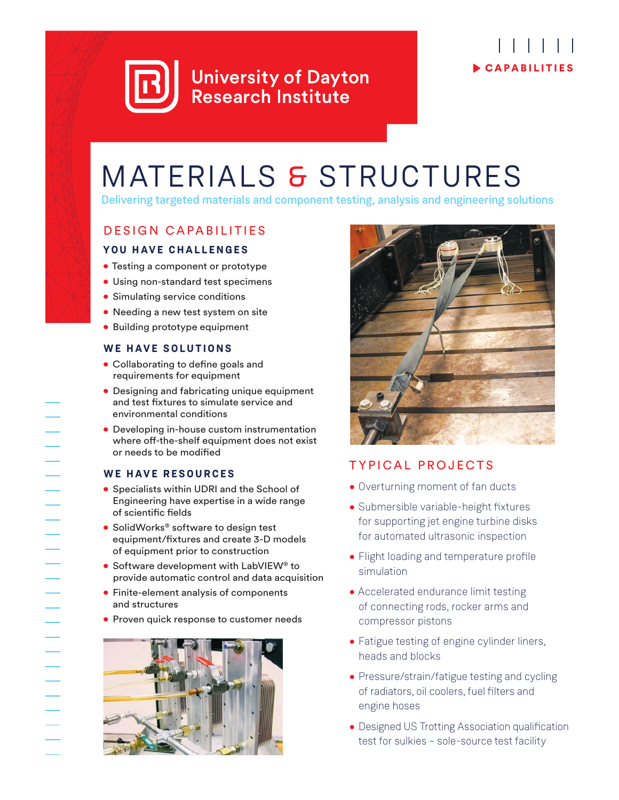

# C APABILITIES

## MATERIALS & STRUCTURES

Delivering targeted materials and component testing, analysis and engineering solutions

### DESIGN CAPABILITIES

### **YOU HAVE CHALLENGES**

- Testing a component or prototype
- Using non-standard test specimens
- Simulating service conditions
- Needing a new test system on site
- Building prototype equipment

### **WE HAVE SOLUTIONS**

- Collaborating to define goals and requirements for equipment
- Designing and fabricating unique equipment and test fixtures to simulate service and environmental conditions
- Developing in-house custom instrumentation where off-the-shelf equipment does not exist or needs to be modified

### **WE HAVE RESOURCES**

- Specialists within UDRI and the School of Engineering have expertise in a wide range of scientific fields
- SolidWorks<sup>®</sup> software to design test equipment/fixtures and create 3-D models of equipment prior to construction
- Software development with LabVIEW® to provide automatic control and data acquisition
- Finite-element analysis of components and structures
- Proven quick response to customer needs





### TYPICAL PROJECTS

- Overturning moment of fan ducts
- Submersible variable-height fixtures for supporting jet engine turbine disks for automated ultrasonic inspection
- Flight loading and temperature profile simulation
- Accelerated endurance limit testing of connecting rods, rocker arms and compressor pistons
- Fatigue testing of engine cylinder liners, heads and blocks
- Pressure/strain/fatigue testing and cycling of radiators, oil coolers, fuel filters and engine hoses
- Designed US Trotting Association qualification test for sulkies – sole-source test facility